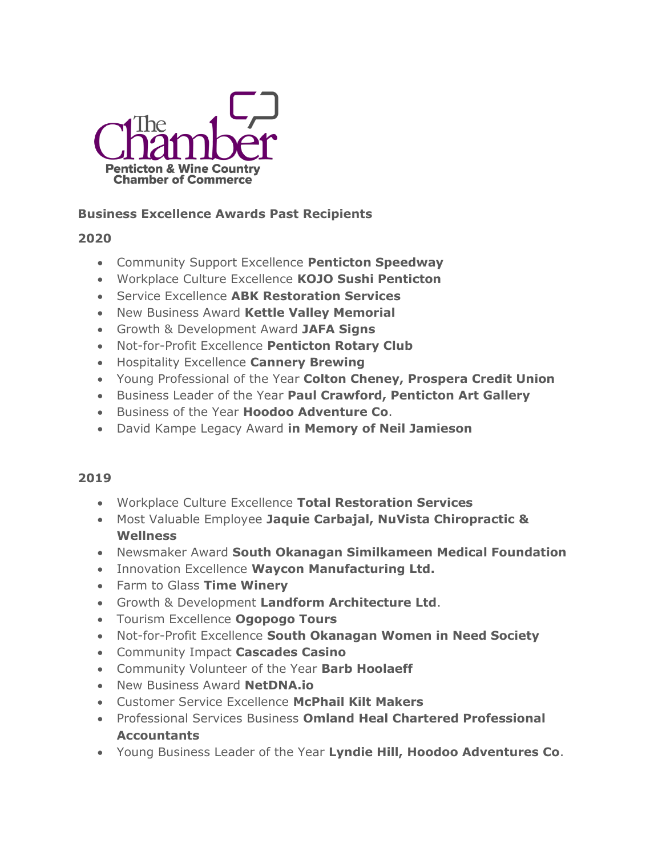

## **Business Excellence Awards Past Recipients**

## **2020**

- Community Support Excellence **Penticton Speedway**
- Workplace Culture Excellence **KOJO Sushi Penticton**
- Service Excellence **ABK Restoration Services**
- New Business Award **Kettle Valley Memorial**
- Growth & Development Award **JAFA Signs**
- Not-for-Profit Excellence **Penticton Rotary Club**
- Hospitality Excellence **Cannery Brewing**
- Young Professional of the Year **Colton Cheney, Prospera Credit Union**
- Business Leader of the Year **Paul Crawford, Penticton Art Gallery**
- Business of the Year **Hoodoo Adventure Co**.
- David Kampe Legacy Award **in Memory of Neil Jamieson**

## **2019**

- Workplace Culture Excellence **Total Restoration Services**
- Most Valuable Employee **Jaquie Carbajal, NuVista Chiropractic & Wellness**
- Newsmaker Award **South Okanagan Similkameen Medical Foundation**
- Innovation Excellence **Waycon Manufacturing Ltd.**
- Farm to Glass **Time Winery**
- Growth & Development **Landform Architecture Ltd**.
- Tourism Excellence **Ogopogo Tours**
- Not-for-Profit Excellence **South Okanagan Women in Need Society**
- Community Impact **Cascades Casino**
- Community Volunteer of the Year **Barb Hoolaeff**
- New Business Award **NetDNA.io**
- Customer Service Excellence **McPhail Kilt Makers**
- Professional Services Business **Omland Heal Chartered Professional Accountants**
- Young Business Leader of the Year **Lyndie Hill, Hoodoo Adventures Co**.